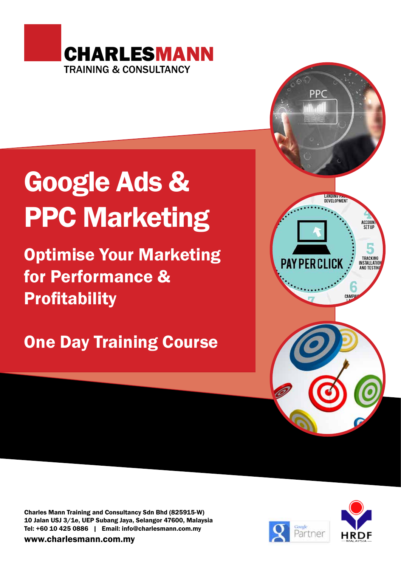

# Google Ads & PPC Marketing

Optimise Your Marketing for Performance & **Profitability** 

One Day Training Course



Charles Mann Training and Consultancy Sdn Bhd (825915-W) 10 Jalan USJ 3/1e, UEP Subang Jaya, Selangor 47600, Malaysia Tel: +60 10 425 0886 | Email: info@charlesmann.com.my

www.charlesmann.com.my

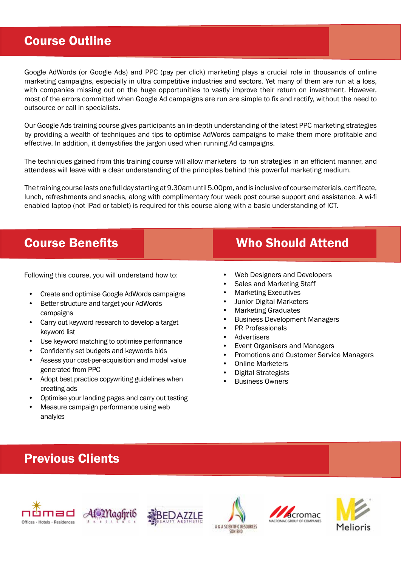## Course Outline

Google AdWords (or Google Ads) and PPC (pay per click) marketing plays a crucial role in thousands of online marketing campaigns, especially in ultra competitive industries and sectors. Yet many of them are run at a loss, with companies missing out on the huge opportunities to vastly improve their return on investment. However, most of the errors committed when Google Ad campaigns are run are simple to fix and rectify, without the need to outsource or call in specialists.

Our Google Ads training course gives participants an in-depth understanding of the latest PPC marketing strategies by providing a wealth of techniques and tips to optimise AdWords campaigns to make them more profitable and effective. In addition, it demystifies the jargon used when running Ad campaigns.

The techniques gained from this training course will allow marketers to run strategies in an efficient manner, and attendees will leave with a clear understanding of the principles behind this powerful marketing medium.

The training course lasts one full day starting at 9.30am until 5.00pm, and is inclusive of course materials, certificate, lunch, refreshments and snacks, along with complimentary four week post course support and assistance. A wi-fi enabled laptop (not iPad or tablet) is required for this course along with a basic understanding of ICT.

Following this course, you will understand how to:

- Create and optimise Google AdWords campaigns
- Better structure and target your AdWords campaigns
- Carry out keyword research to develop a target keyword list
- Use keyword matching to optimise performance
- Confidently set budgets and keywords bids
- Assess your cost-per-acquisition and model value generated from PPC
- Adopt best practice copywriting guidelines when creating ads
- Optimise your landing pages and carry out testing
- Measure campaign performance using web analyics

## **Course Benefits Course Benefits** Who Should Attend

- Web Designers and Developers
- Sales and Marketing Staff
- Marketing Executives
- Junior Digital Marketers
- Marketing Graduates
- Business Development Managers
- PR Professionals
- Advertisers
- Event Organisers and Managers
- Promotions and Customer Service Managers
- Online Marketers
- Digital Strategists
- Business Owners

# Previous Clients











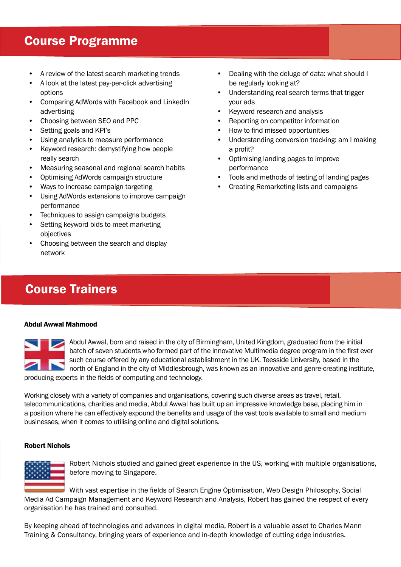## Course Programme

- A review of the latest search marketing trends
- A look at the latest pay-per-click advertising options
- Comparing AdWords with Facebook and LinkedIn advertising
- Choosing between SEO and PPC
- Setting goals and KPI's
- Using analytics to measure performance
- Keyword research: demystifying how people really search
- Measuring seasonal and regional search habits
- Optimising AdWords campaign structure
- Ways to increase campaign targeting
- Using AdWords extensions to improve campaign performance
- Techniques to assign campaigns budgets
- Setting keyword bids to meet marketing objectives
- Choosing between the search and display network
- Dealing with the deluge of data: what should I be regularly looking at?
- Understanding real search terms that trigger your ads
- Keyword research and analysis
- Reporting on competitor information
- How to find missed opportunities
- Understanding conversion tracking: am I making a profit?
- Optimising landing pages to improve performance
- Tools and methods of testing of landing pages
- Creating Remarketing lists and campaigns

## Course Trainers

#### Abdul Awwal Mahmood

Abdul Awwal, born and raised in the city of Birmingham, United Kingdom, graduated from the initial batch of seven students who formed part of the innovative Multimedia degree program in the first ever such course offered by any educational establishment in the UK. Teesside University, based in the north of England in the city of Middlesbrough, was known as an innovative and genre-creating institute, producing experts in the fields of computing and technology.

Working closely with a variety of companies and organisations, covering such diverse areas as travel, retail, telecommunications, charities and media, Abdul Awwal has built up an impressive knowledge base, placing him in a position where he can effectively expound the benefits and usage of the vast tools available to small and medium businesses, when it comes to utilising online and digital solutions.

#### Robert Nichols



Robert Nichols studied and gained great experience in the US, working with multiple organisations, before moving to Singapore.

With vast expertise in the fields of Search Engine Optimisation, Web Design Philosophy, Social Media Ad Campaign Management and Keyword Research and Analysis, Robert has gained the respect of every organisation he has trained and consulted.

By keeping ahead of technologies and advances in digital media, Robert is a valuable asset to Charles Mann Training & Consultancy, bringing years of experience and in-depth knowledge of cutting edge industries.